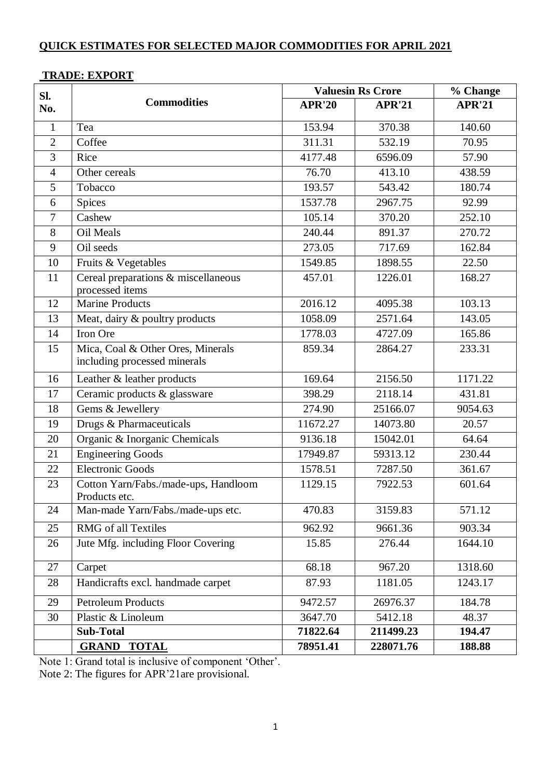### **Sl. No. Commodities Valuesin Rs Crore % Change APR'20 APR'21 APR'21** 1 | Tea 153.94 | 370.38 | 140.60 2 Coffee 2 311.31 532.19 70.95 3 Rice 10 1177.48 6596.09 57.90 4 Other cereals 76.70 413.10 438.59 5 Tobacco 193.57 | 543.42 | 180.74 6 Spices 1537.78 2967.75 92.99 7 Cashew 105.14 370.20 252.10 8 | Oil Meals | 240.44 | 891.37 | 270.72 9 Oil seeds 273.05 717.69 162.84 10 Fruits & Vegetables 1549.85 1898.55 22.50 11 Cereal preparations & miscellaneous processed items 457.01 1226.01 168.27 12 | Marine Products | 2016.12 | 4095.38 | 103.13 13 Meat, dairy & poultry products 1058.09 2571.64 143.05 14 Iron Ore 1778.03 4727.09 165.86 15 Mica, Coal & Other Ores, Minerals including processed minerals 859.34 2864.27 233.31 16 Leather & leather products 169.64 2156.50 1171.22 17 Ceramic products & glassware 398.29 2118.14 431.81 18 Gems & Jewellery 274.90 25166.07 9054.63 19 Drugs & Pharmaceuticals 11672.27 14073.80 20.57 20 Organic & Inorganic Chemicals 19136.18 15042.01 64.64 21 Engineering Goods 17949.87 59313.12 230.44 22 Electronic Goods 1578.51 7287.50 361.67 23 Cotton Yarn/Fabs./made-ups, Handloom Products etc. 1129.15 7922.53 601.64 24 Man-made Yarn/Fabs./made-ups etc. 470.83 3159.83 571.12 25 RMG of all Textiles 25 PMG of all Textiles 26 Jute Mfg. including Floor Covering 15.85 276.44 1644.10

### **TRADE: EXPORT**

Note 1: Grand total is inclusive of component 'Other'.

Note 2: The figures for APR'21are provisional.

27 Carpet 68.18 967.20 1318.60 28 Handicrafts excl. handmade carpet 87.93 1181.05 1243.17

29 Petroleum Products 9472.57 26976.37 184.78 30 Plastic & Linoleum 3647.70 5412.18 48.37

**Sub-Total 71822.64 211499.23 194.47 GRAND TOTAL 78951.41 228071.76 188.88**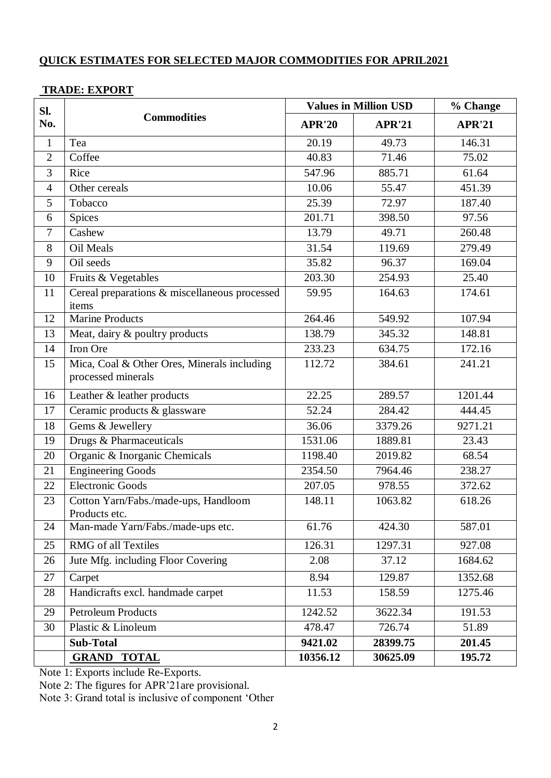## **TRADE: EXPORT**

| SI.<br>No.     | <b>Commodities</b>                                                | <b>Values in Million USD</b> |               | % Change      |
|----------------|-------------------------------------------------------------------|------------------------------|---------------|---------------|
|                |                                                                   | <b>APR'20</b>                | <b>APR'21</b> | <b>APR'21</b> |
| $\mathbf{1}$   | Tea                                                               | 20.19                        | 49.73         | 146.31        |
| $\overline{2}$ | Coffee                                                            | 40.83                        | 71.46         | 75.02         |
| 3              | Rice                                                              | 547.96                       | 885.71        | 61.64         |
| $\overline{4}$ | Other cereals                                                     | 10.06                        | 55.47         | 451.39        |
| 5              | Tobacco                                                           | 25.39                        | 72.97         | 187.40        |
| 6              | <b>Spices</b>                                                     | 201.71                       | 398.50        | 97.56         |
| $\overline{7}$ | Cashew                                                            | 13.79                        | 49.71         | 260.48        |
| 8              | Oil Meals                                                         | 31.54                        | 119.69        | 279.49        |
| 9              | Oil seeds                                                         | 35.82                        | 96.37         | 169.04        |
| 10             | Fruits & Vegetables                                               | 203.30                       | 254.93        | 25.40         |
| 11             | Cereal preparations & miscellaneous processed<br>items            | 59.95                        | 164.63        | 174.61        |
| 12             | <b>Marine Products</b>                                            | 264.46                       | 549.92        | 107.94        |
| 13             | Meat, dairy & poultry products                                    | 138.79                       | 345.32        | 148.81        |
| 14             | Iron Ore                                                          | 233.23                       | 634.75        | 172.16        |
| 15             | Mica, Coal & Other Ores, Minerals including<br>processed minerals | 112.72                       | 384.61        | 241.21        |
| 16             | Leather & leather products                                        | 22.25                        | 289.57        | 1201.44       |
| 17             | Ceramic products & glassware                                      | 52.24                        | 284.42        | 444.45        |
| 18             | Gems & Jewellery                                                  | 36.06                        | 3379.26       | 9271.21       |
| 19             | Drugs & Pharmaceuticals                                           | 1531.06                      | 1889.81       | 23.43         |
| 20             | Organic & Inorganic Chemicals                                     | 1198.40                      | 2019.82       | 68.54         |
| 21             | <b>Engineering Goods</b>                                          | 2354.50                      | 7964.46       | 238.27        |
| 22             | <b>Electronic Goods</b>                                           | 207.05                       | 978.55        | 372.62        |
| 23             | Cotton Yarn/Fabs./made-ups, Handloom<br>Products etc.             | 148.11                       | 1063.82       | 618.26        |
| 24             | Man-made Yarn/Fabs./made-ups etc.                                 | 61.76                        | 424.30        | 587.01        |
| 25             | RMG of all Textiles                                               | 126.31                       | 1297.31       | 927.08        |
| 26             | Jute Mfg. including Floor Covering                                | 2.08                         | 37.12         | 1684.62       |
| 27             | Carpet                                                            | 8.94                         | 129.87        | 1352.68       |
| 28             | Handicrafts excl. handmade carpet                                 | 11.53                        | 158.59        | 1275.46       |
| 29             | Petroleum Products                                                | 1242.52                      | 3622.34       | 191.53        |
| 30             | Plastic & Linoleum                                                | 478.47                       | 726.74        | 51.89         |
|                | <b>Sub-Total</b>                                                  | 9421.02                      | 28399.75      | 201.45        |
|                | <b>GRAND TOTAL</b>                                                | 10356.12                     | 30625.09      | 195.72        |

Note 1: Exports include Re-Exports.

Note 2: The figures for APR'21are provisional.

Note 3: Grand total is inclusive of component 'Other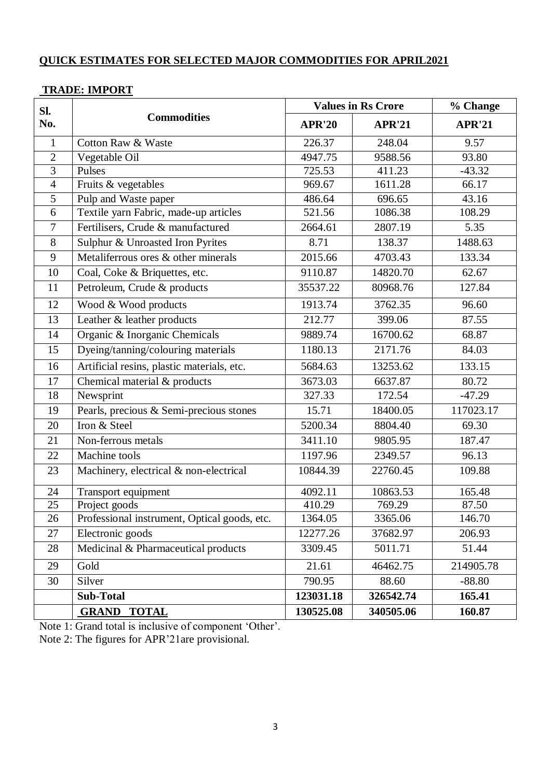## **TRADE: IMPORT**

| SI.<br>No.     | <b>Commodities</b>                           | <b>Values in Rs Crore</b> |               | % Change      |
|----------------|----------------------------------------------|---------------------------|---------------|---------------|
|                |                                              | <b>APR'20</b>             | <b>APR'21</b> | <b>APR'21</b> |
| $\mathbf{1}$   | <b>Cotton Raw &amp; Waste</b>                | 226.37                    | 248.04        | 9.57          |
| $\mathbf{2}$   | Vegetable Oil                                | 4947.75                   | 9588.56       | 93.80         |
| $\overline{3}$ | Pulses                                       | 725.53                    | 411.23        | $-43.32$      |
| $\overline{4}$ | Fruits & vegetables                          | 969.67                    | 1611.28       | 66.17         |
| 5              | Pulp and Waste paper                         | 486.64                    | 696.65        | 43.16         |
| 6              | Textile yarn Fabric, made-up articles        | 521.56                    | 1086.38       | 108.29        |
| $\overline{7}$ | Fertilisers, Crude & manufactured            | 2664.61                   | 2807.19       | 5.35          |
| 8              | Sulphur & Unroasted Iron Pyrites             | 8.71                      | 138.37        | 1488.63       |
| 9              | Metaliferrous ores & other minerals          | 2015.66                   | 4703.43       | 133.34        |
| 10             | Coal, Coke & Briquettes, etc.                | 9110.87                   | 14820.70      | 62.67         |
| 11             | Petroleum, Crude & products                  | 35537.22                  | 80968.76      | 127.84        |
| 12             | Wood & Wood products                         | 1913.74                   | 3762.35       | 96.60         |
| 13             | Leather & leather products                   | 212.77                    | 399.06        | 87.55         |
| 14             | Organic & Inorganic Chemicals                | 9889.74                   | 16700.62      | 68.87         |
| 15             | Dyeing/tanning/colouring materials           | 1180.13                   | 2171.76       | 84.03         |
| 16             | Artificial resins, plastic materials, etc.   | 5684.63                   | 13253.62      | 133.15        |
| 17             | Chemical material & products                 | 3673.03                   | 6637.87       | 80.72         |
| 18             | Newsprint                                    | 327.33                    | 172.54        | $-47.29$      |
| 19             | Pearls, precious & Semi-precious stones      | 15.71                     | 18400.05      | 117023.17     |
| 20             | Iron & Steel                                 | 5200.34                   | 8804.40       | 69.30         |
| 21             | Non-ferrous metals                           | 3411.10                   | 9805.95       | 187.47        |
| 22             | Machine tools                                | 1197.96                   | 2349.57       | 96.13         |
| 23             | Machinery, electrical & non-electrical       | 10844.39                  | 22760.45      | 109.88        |
| 24             | Transport equipment                          | 4092.11                   | 10863.53      | 165.48        |
| 25             | Project goods                                | 410.29                    | 769.29        | 87.50         |
| 26             | Professional instrument, Optical goods, etc. | 1364.05                   | 3365.06       | 146.70        |
| 27             | Electronic goods                             | 12277.26                  | 37682.97      | 206.93        |
| 28             | Medicinal & Pharmaceutical products          | 3309.45                   | 5011.71       | 51.44         |
| 29             | Gold                                         | 21.61                     | 46462.75      | 214905.78     |
| 30             | Silver                                       | 790.95                    | 88.60         | $-88.80$      |
|                | <b>Sub-Total</b>                             | 123031.18                 | 326542.74     | 165.41        |
|                | <b>GRAND TOTAL</b>                           | 130525.08                 | 340505.06     | 160.87        |

Note 1: Grand total is inclusive of component 'Other'.

Note 2: The figures for APR'21are provisional.